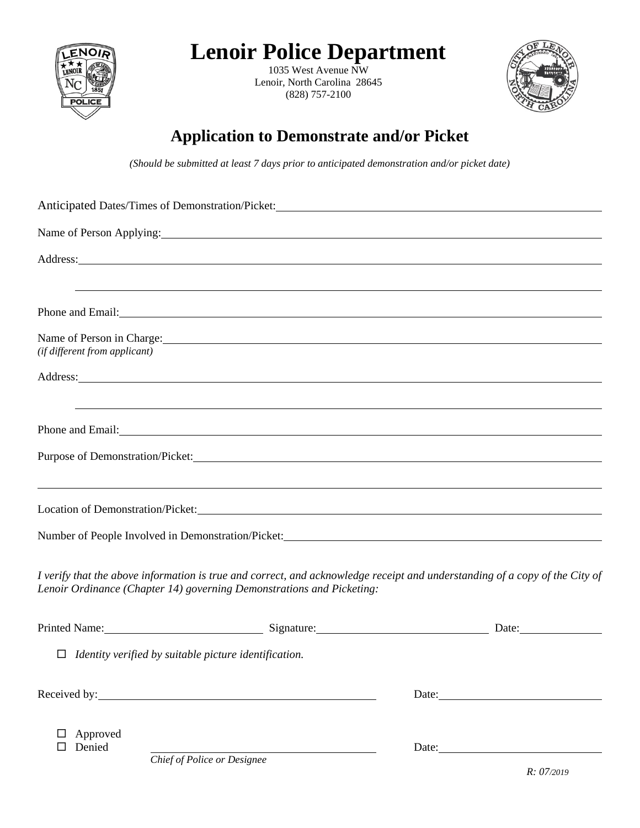

# **Lenoir Police Department**

1035 West Avenue NW Lenoir, North Carolina 28645 (828) 757-2100



## **Application to Demonstrate and/or Picket**

*(Should be submitted at least 7 days prior to anticipated demonstration and/or picket date)* 

| Name of Person Applying:                                              |                                                                                                                                                                                                                                                                                                                   |
|-----------------------------------------------------------------------|-------------------------------------------------------------------------------------------------------------------------------------------------------------------------------------------------------------------------------------------------------------------------------------------------------------------|
|                                                                       | Address: Andreas Address: Address: Address: Address: Address: Address: Address: Address: Address: Address: Address: Address: Address: Address: Address: Address: Address: Address: Address: Address: Address: Address: Address                                                                                    |
|                                                                       | ,我们也不会有什么。""我们的人,我们也不会有什么?""我们的人,我们也不会有什么?""我们的人,我们也不会有什么?""我们的人,我们也不会有什么?""我们的人<br>Phone and Email: The contract of the contract of the contract of the contract of the contract of the contract of the contract of the contract of the contract of the contract of the contract of the contract of the contract |
| (if different from applicant)                                         | Name of Person in Charge:                                                                                                                                                                                                                                                                                         |
|                                                                       | Address: and the contract of the contract of the contract of the contract of the contract of the contract of the contract of the contract of the contract of the contract of the contract of the contract of the contract of t                                                                                    |
|                                                                       | ,我们也不会有什么。""我们的人,我们也不会有什么?""我们的人,我们也不会有什么?""我们的人,我们也不会有什么?""我们的人,我们也不会有什么?""我们的人<br>Phone and Email: example and Email:                                                                                                                                                                                           |
|                                                                       |                                                                                                                                                                                                                                                                                                                   |
|                                                                       | ,我们也不会有什么。""我们的人,我们也不会有什么?""我们的人,我们也不会有什么?""我们的人,我们也不会有什么?""我们的人,我们也不会有什么?""我们的人<br>Location of Demonstration/Picket: Lease and Security and Security and Security and Security and Security and Security and Security and Security and Security and Security and Security and Security and Security and Security |
|                                                                       | Number of People Involved in Demonstration/Picket: Manual According to the United States of People Involved in Demonstration/Picket:                                                                                                                                                                              |
| Lenoir Ordinance (Chapter 14) governing Demonstrations and Picketing: | I verify that the above information is true and correct, and acknowledge receipt and understanding of a copy of the City of                                                                                                                                                                                       |
|                                                                       | Printed Name: Signature: Signature: Date: Date:                                                                                                                                                                                                                                                                   |
| $\Box$ Identity verified by suitable picture identification.          |                                                                                                                                                                                                                                                                                                                   |
| Received by:                                                          |                                                                                                                                                                                                                                                                                                                   |
| Approved<br>Denied                                                    | Date:                                                                                                                                                                                                                                                                                                             |

*Chief of Police or Designee*